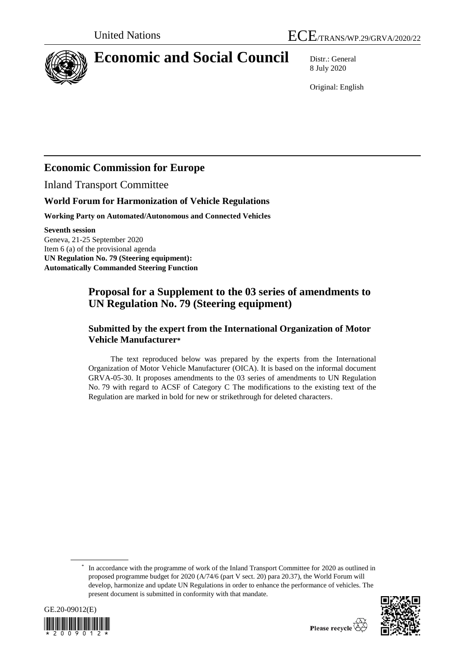

# **Economic and Social Council** Distr.: General

8 July 2020

Original: English

## **Economic Commission for Europe**

Inland Transport Committee

## **World Forum for Harmonization of Vehicle Regulations**

**Working Party on Automated/Autonomous and Connected Vehicles**

**Seventh session** Geneva, 21-25 September 2020 Item 6 (a) of the provisional agenda **UN Regulation No. 79 (Steering equipment): Automatically Commanded Steering Function**

## **Proposal for a Supplement to the 03 series of amendments to UN Regulation No. 79 (Steering equipment)**

## **Submitted by the expert from the International Organization of Motor Vehicle Manufacturer\***

The text reproduced below was prepared by the experts from the International Organization of Motor Vehicle Manufacturer (OICA). It is based on the informal document GRVA-05-30. It proposes amendments to the 03 series of amendments to UN Regulation No. 79 with regard to ACSF of Category C The modifications to the existing text of the Regulation are marked in bold for new or strikethrough for deleted characters.

<sup>\*</sup> In accordance with the programme of work of the Inland Transport Committee for 2020 as outlined in proposed programme budget for 2020 (A/74/6 (part V sect. 20) para 20.37), the World Forum will develop, harmonize and update UN Regulations in order to enhance the performance of vehicles. The present document is submitted in conformity with that mandate.



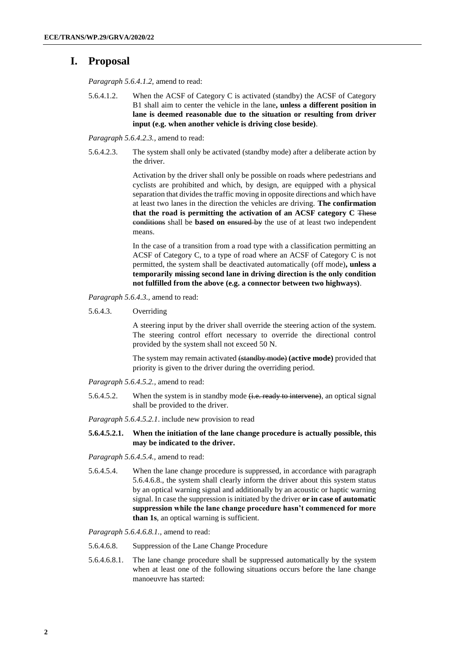## **I. Proposal**

*Paragraph 5.6.4.1.2,* amend to read:

5.6.4.1.2. When the ACSF of Category C is activated (standby) the ACSF of Category B1 shall aim to center the vehicle in the lane**, unless a different position in lane is deemed reasonable due to the situation or resulting from driver input (e.g. when another vehicle is driving close beside)**.

*Paragraph 5.6.4.2.3.,* amend to read:

5.6.4.2.3. The system shall only be activated (standby mode) after a deliberate action by the driver.

> Activation by the driver shall only be possible on roads where pedestrians and cyclists are prohibited and which, by design, are equipped with a physical separation that divides the traffic moving in opposite directions and which have at least two lanes in the direction the vehicles are driving. **The confirmation that the road is permitting the activation of an ACSF category C** These conditions shall be **based on** ensured by the use of at least two independent means.

> In the case of a transition from a road type with a classification permitting an ACSF of Category C, to a type of road where an ACSF of Category C is not permitted, the system shall be deactivated automatically (off mode)**, unless a temporarily missing second lane in driving direction is the only condition not fulfilled from the above (e.g. a connector between two highways)**.

*Paragraph 5.6.4.3.,* amend to read:

5.6.4.3. Overriding

A steering input by the driver shall override the steering action of the system. The steering control effort necessary to override the directional control provided by the system shall not exceed 50 N.

The system may remain activated (standby mode) **(active mode)** provided that priority is given to the driver during the overriding period.

*Paragraph 5.6.4.5.2.,* amend to read:

5.6.4.5.2. When the system is in standby mode (i.e. ready to intervene), an optical signal shall be provided to the driver.

*Paragraph 5.6.4.5.2.1*. include new provision to read

**5.6.4.5.2.1. When the initiation of the lane change procedure is actually possible, this may be indicated to the driver.** 

*Paragraph 5.6.4.5.4.,* amend to read:

5.6.4.5.4. When the lane change procedure is suppressed, in accordance with paragraph 5.6.4.6.8., the system shall clearly inform the driver about this system status by an optical warning signal and additionally by an acoustic or haptic warning signal. In case the suppression is initiated by the driver **or in case of automatic suppression while the lane change procedure hasn't commenced for more than 1s**, an optical warning is sufficient.

*Paragraph 5.6.4.6.8.1.,* amend to read:

- 5.6.4.6.8. Suppression of the Lane Change Procedure
- 5.6.4.6.8.1. The lane change procedure shall be suppressed automatically by the system when at least one of the following situations occurs before the lane change manoeuvre has started: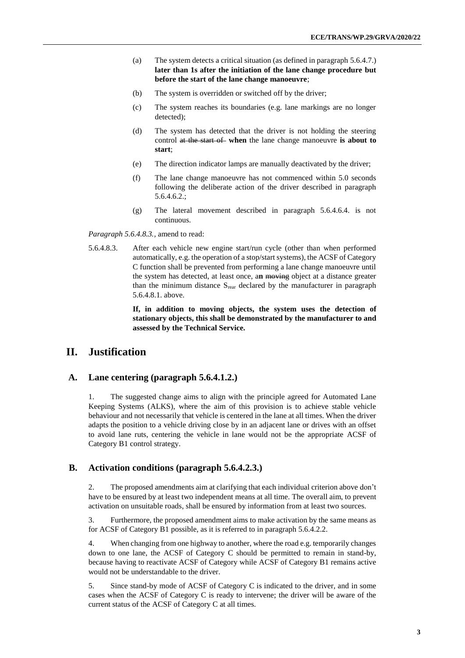- (a) The system detects a critical situation (as defined in paragraph 5.6.4.7.) **later than 1s after the initiation of the lane change procedure but before the start of the lane change manoeuvre**;
- (b) The system is overridden or switched off by the driver;
- (c) The system reaches its boundaries (e.g. lane markings are no longer detected);
- (d) The system has detected that the driver is not holding the steering control at the start of when the lane change manoeuvre is about to **start**;
- (e) The direction indicator lamps are manually deactivated by the driver;
- (f) The lane change manoeuvre has not commenced within 5.0 seconds following the deliberate action of the driver described in paragraph 5.6.4.6.2.;
- (g) The lateral movement described in paragraph 5.6.4.6.4. is not continuous.

*Paragraph 5.6.4.8.3.,* amend to read:

5.6.4.8.3. After each vehicle new engine start/run cycle (other than when performed automatically, e.g. the operation of a stop/start systems), the ACSF of Category C function shall be prevented from performing a lane change manoeuvre until the system has detected, at least once, a**n** moving object at a distance greater than the minimum distance  $S_{\text{rear}}$  declared by the manufacturer in paragraph 5.6.4.8.1. above.

> **If, in addition to moving objects, the system uses the detection of stationary objects, this shall be demonstrated by the manufacturer to and assessed by the Technical Service.**

## **II. Justification**

#### **A. Lane centering (paragraph 5.6.4.1.2.)**

1. The suggested change aims to align with the principle agreed for Automated Lane Keeping Systems (ALKS), where the aim of this provision is to achieve stable vehicle behaviour and not necessarily that vehicle is centered in the lane at all times. When the driver adapts the position to a vehicle driving close by in an adjacent lane or drives with an offset to avoid lane ruts, centering the vehicle in lane would not be the appropriate ACSF of Category B1 control strategy.

#### **B. Activation conditions (paragraph 5.6.4.2.3.)**

2. The proposed amendments aim at clarifying that each individual criterion above don't have to be ensured by at least two independent means at all time. The overall aim, to prevent activation on unsuitable roads, shall be ensured by information from at least two sources.

3. Furthermore, the proposed amendment aims to make activation by the same means as for ACSF of Category B1 possible, as it is referred to in paragraph 5.6.4.2.2.

4. When changing from one highway to another, where the road e.g. temporarily changes down to one lane, the ACSF of Category C should be permitted to remain in stand-by, because having to reactivate ACSF of Category while ACSF of Category B1 remains active would not be understandable to the driver.

5. Since stand-by mode of ACSF of Category C is indicated to the driver, and in some cases when the ACSF of Category C is ready to intervene; the driver will be aware of the current status of the ACSF of Category C at all times.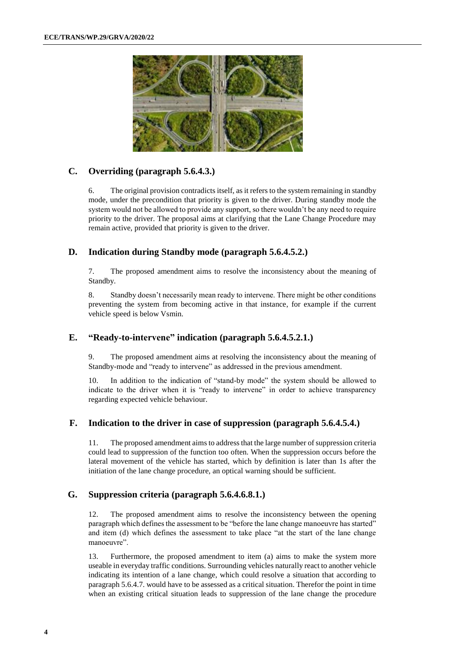

#### **C. Overriding (paragraph 5.6.4.3.)**

6. The original provision contradicts itself, as it refers to the system remaining in standby mode, under the precondition that priority is given to the driver. During standby mode the system would not be allowed to provide any support, so there wouldn't be any need to require priority to the driver. The proposal aims at clarifying that the Lane Change Procedure may remain active, provided that priority is given to the driver.

#### **D. Indication during Standby mode (paragraph 5.6.4.5.2.)**

7. The proposed amendment aims to resolve the inconsistency about the meaning of Standby.

8. Standby doesn't necessarily mean ready to intervene. There might be other conditions preventing the system from becoming active in that instance, for example if the current vehicle speed is below Vsmin.

#### **E. "Ready-to-intervene" indication (paragraph 5.6.4.5.2.1.)**

9. The proposed amendment aims at resolving the inconsistency about the meaning of Standby-mode and "ready to intervene" as addressed in the previous amendment.

10. In addition to the indication of "stand-by mode" the system should be allowed to indicate to the driver when it is "ready to intervene" in order to achieve transparency regarding expected vehicle behaviour.

#### **F. Indication to the driver in case of suppression (paragraph 5.6.4.5.4.)**

11. The proposed amendment aims to address that the large number of suppression criteria could lead to suppression of the function too often. When the suppression occurs before the lateral movement of the vehicle has started, which by definition is later than 1s after the initiation of the lane change procedure, an optical warning should be sufficient.

#### **G. Suppression criteria (paragraph 5.6.4.6.8.1.)**

12. The proposed amendment aims to resolve the inconsistency between the opening paragraph which defines the assessment to be "before the lane change manoeuvre has started" and item (d) which defines the assessment to take place "at the start of the lane change manoeuvre".

13. Furthermore, the proposed amendment to item (a) aims to make the system more useable in everyday traffic conditions. Surrounding vehicles naturally react to another vehicle indicating its intention of a lane change, which could resolve a situation that according to paragraph 5.6.4.7. would have to be assessed as a critical situation. Therefor the point in time when an existing critical situation leads to suppression of the lane change the procedure